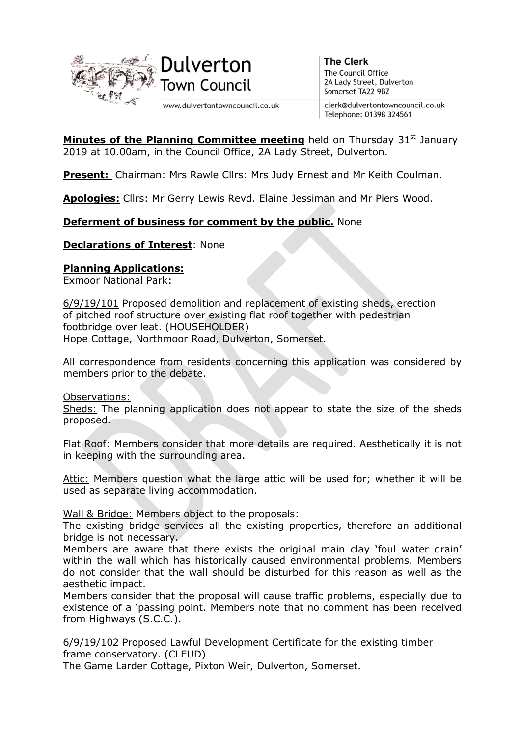

www.dulvertontowncouncil.co.uk

**The Clerk** The Council Office 2A Lady Street, Dulverton Somerset TA22 9BZ

clerk@dulvertontowncouncil.co.uk Telephone: 01398 324561

**Minutes of the Planning Committee meeting** held on Thursday  $31<sup>st</sup>$  January 2019 at 10.00am, in the Council Office, 2A Lady Street, Dulverton.

Present: Chairman: Mrs Rawle Cllrs: Mrs Judy Ernest and Mr Keith Coulman.

Apologies: Cllrs: Mr Gerry Lewis Revd. Elaine Jessiman and Mr Piers Wood.

# **Deferment of business for comment by the public.** None

Declarations of Interest: None

### Planning Applications:

Exmoor National Park:

6/9/19/101 Proposed demolition and replacement of existing sheds, erection of pitched roof structure over existing flat roof together with pedestrian footbridge over leat. (HOUSEHOLDER) Hope Cottage, Northmoor Road, Dulverton, Somerset.

All correspondence from residents concerning this application was considered by members prior to the debate.

Observations:

Sheds: The planning application does not appear to state the size of the sheds proposed.

Flat Roof: Members consider that more details are required. Aesthetically it is not in keeping with the surrounding area.

Attic: Members question what the large attic will be used for; whether it will be used as separate living accommodation.

Wall & Bridge: Members object to the proposals:

The existing bridge services all the existing properties, therefore an additional bridge is not necessary.

Members are aware that there exists the original main clay 'foul water drain' within the wall which has historically caused environmental problems. Members do not consider that the wall should be disturbed for this reason as well as the aesthetic impact.

Members consider that the proposal will cause traffic problems, especially due to existence of a 'passing point. Members note that no comment has been received from Highways (S.C.C.).

6/9/19/102 Proposed Lawful Development Certificate for the existing timber frame conservatory. (CLEUD)

The Game Larder Cottage, Pixton Weir, Dulverton, Somerset.